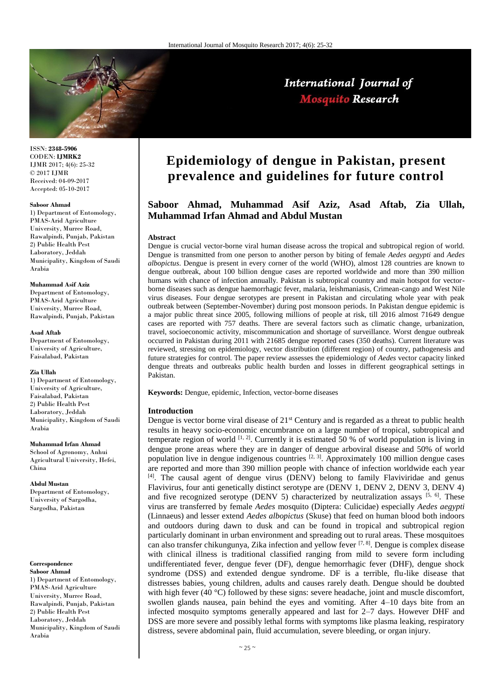

International Journal of **Mosquito Research** 

ISSN: **2348-5906** CODEN: **IJMRK2** IJMR 2017; 4(6): 25-32 © 2017 IJMR Received: 04-09-2017 Accepted: 05-10-2017

#### **Saboor Ahmad**

1) Department of Entomology, PMAS-Arid Agriculture University, Murree Road, Rawalpindi, Punjab, Pakistan 2) Public Health Pest Laboratory, Jeddah Municipality, Kingdom of Saudi Arabia

#### **Muhammad Asif Aziz**

Department of Entomology, PMAS-Arid Agriculture University, Murree Road, Rawalpindi, Punjab, Pakistan

#### **Asad Aftab**

Department of Entomology, University of Agriculture, Faisalabad, Pakistan

#### **Zia Ullah**

1) Department of Entomology, University of Agriculture, Faisalabad, Pakistan 2) Public Health Pest Laboratory, Jeddah Municipality, Kingdom of Saudi Arabia

**Muhammad Irfan Ahmad** School of Agronomy, Anhui Agricultural University, Hefei, China

**Abdul Mustan** Department of Entomology, University of Sargodha, Sargodha, Pakistan

#### **Correspondence**

**Saboor Ahmad** 1) Department of Entomology, PMAS-Arid Agriculture University, Murree Road, Rawalpindi, Punjab, Pakistan 2) Public Health Pest Laboratory, Jeddah Municipality, Kingdom of Saudi Arabia

# **Epidemiology of dengue in Pakistan, present prevalence and guidelines for future control**

# **Saboor Ahmad, Muhammad Asif Aziz, Asad Aftab, Zia Ullah, Muhammad Irfan Ahmad and Abdul Mustan**

#### **Abstract**

Dengue is crucial vector-borne viral human disease across the tropical and subtropical region of world. Dengue is transmitted from one person to another person by biting of female *Aedes aegypti* and *Aedes albopictus*. Dengue is present in every corner of the world (WHO), almost 128 countries are known to dengue outbreak, about 100 billion dengue cases are reported worldwide and more than 390 million humans with chance of infection annually. Pakistan is subtropical country and main hotspot for vectorborne diseases such as dengue haemorrhagic fever, malaria, leishmaniasis, Crimean-cango and West Nile virus diseases. Four dengue serotypes are present in Pakistan and circulating whole year with peak outbreak between (September-November) during post monsoon periods. In Pakistan dengue epidemic is a major public threat since 2005, following millions of people at risk, till 2016 almost 71649 dengue cases are reported with 757 deaths. There are several factors such as climatic change, urbanization, travel, socioeconomic activity, miscommunication and shortage of surveillance. Worst dengue outbreak occurred in Pakistan during 2011 with 21685 dengue reported cases (350 deaths). Current literature was reviewed, stressing on epidemiology, vector distribution (different region) of country, pathogenesis and future strategies for control. The paper review assesses the epidemiology of *Aedes* vector capacity linked dengue threats and outbreaks public health burden and losses in different geographical settings in Pakistan.

**Keywords:** Dengue, epidemic, Infection, vector-borne diseases

#### **Introduction**

Dengue is vector borne viral disease of 21<sup>st</sup> Century and is regarded as a threat to public health results in heavy socio-economic encumbrance on a large number of tropical, subtropical and temperate region of world  $[1, 2]$ . Currently it is estimated 50 % of world population is living in dengue prone areas where they are in danger of dengue arboviral disease and 50% of world population live in dengue indigenous countries  $[2, 3]$ . Approximately 100 million dengue cases are reported and more than 390 million people with chance of infection worldwide each year [4]. The causal agent of dengue virus (DENV) belong to family Flaviviridae and genus Flavivirus, four anti genetically distinct serotype are (DENV 1, DENV 2, DENV 3, DENV 4) and five recognized serotype (DENV 5) characterized by neutralization assays  $[5, 6]$ . These virus are transferred by female *Aedes* mosquito (Diptera: Culicidae) especially *Aedes aegypti* (Linnaeus) and lesser extend *Aedes albopictus* (Skuse) that feed on human blood both indoors and outdoors during dawn to dusk and can be found in tropical and subtropical region particularly dominant in urban environment and spreading out to rural areas. These mosquitoes can also transfer chikungunya, Zika infection and yellow fever <sup>[7, 8]</sup>. Dengue is complex disease with clinical illness is traditional classified ranging from mild to severe form including undifferentiated fever, dengue fever (DF), dengue hemorrhagic fever (DHF), dengue shock syndrome (DSS) and extended dengue syndrome. DF is a terrible, flu-like disease that distresses babies, young children, adults and causes rarely death. Dengue should be doubted with high fever (40 °C) followed by these signs: severe headache, joint and muscle discomfort, swollen glands nausea, pain behind the eyes and vomiting. After 4–10 days bite from an infected mosquito symptoms generally appeared and last for 2–7 days. However DHF and DSS are more severe and possibly lethal forms with symptoms like plasma leaking, respiratory distress, severe abdominal pain, fluid accumulation, severe bleeding, or organ injury.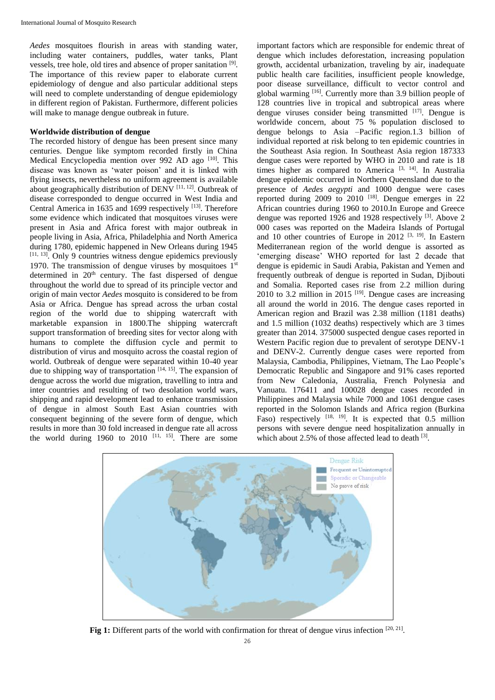*Aedes* mosquitoes flourish in areas with standing water, including water containers, puddles, water tanks, Plant vessels, tree hole, old tires and absence of proper sanitation [9]. The importance of this review paper to elaborate current epidemiology of dengue and also particular additional steps will need to complete understanding of dengue epidemiology in different region of Pakistan. Furthermore, different policies will make to manage dengue outbreak in future.

# **Worldwide distribution of dengue**

The recorded history of dengue has been present since many centuries. Dengue like symptom recorded firstly in China Medical Encyclopedia mention over 992 AD ago [10]. This disease was known as 'water poison' and it is linked with flying insects, nevertheless no uniform agreement is available about geographically distribution of  $\overline{D}\text{ENV}$ <sup>[11, 12]</sup>. Outbreak of disease corresponded to dengue occurred in West India and Central America in 1635 and 1699 respectively [13]. Therefore some evidence which indicated that mosquitoes viruses were present in Asia and Africa forest with major outbreak in people living in Asia, Africa, Philadelphia and North America during 1780, epidemic happened in New Orleans during 1945 [11, 13]. Only 9 countries witness dengue epidemics previously 1970. The transmission of dengue viruses by mosquitoes  $1<sup>st</sup>$ determined in  $20<sup>th</sup>$  century. The fast dispersed of dengue throughout the world due to spread of its principle vector and origin of main vector *Aedes* mosquito is considered to be from Asia or Africa. Dengue has spread across the urban costal region of the world due to shipping watercraft with marketable expansion in 1800.The shipping watercraft support transformation of breeding sites for vector along with humans to complete the diffusion cycle and permit to distribution of virus and mosquito across the coastal region of world. Outbreak of dengue were separated within 10-40 year due to shipping way of transportation  $[14, 15]$ . The expansion of dengue across the world due migration, travelling to intra and inter countries and resulting of two desolation world wars, shipping and rapid development lead to enhance transmission of dengue in almost South East Asian countries with consequent beginning of the severe form of dengue, which results in more than 30 fold increased in dengue rate all across the world during 1960 to 2010  $[11, 15]$ . There are some

important factors which are responsible for endemic threat of dengue which includes deforestation, increasing population growth, accidental urbanization, traveling by air, inadequate public health care facilities, insufficient people knowledge, poor disease surveillance, difficult to vector control and global warming [16]. Currently more than 3.9 billion people of 128 countries live in tropical and subtropical areas where dengue viruses consider being transmitted [17]. Dengue is worldwide concern, about 75 % population disclosed to dengue belongs to Asia –Pacific region.1.3 billion of individual reported at risk belong to ten epidemic countries in the Southeast Asia region. In Southeast Asia region 187333 dengue cases were reported by WHO in 2010 and rate is 18 times higher as compared to America  $[3, 14]$ . In Australia dengue epidemic occurred in Northern Queensland due to the presence of *Aedes aegypti* and 1000 dengue were cases reported during  $2009$  to  $2010$  <sup>[18]</sup>. Dengue emerges in 22 African countries during 1960 to 2010.In Europe and Greece dengue was reported 1926 and 1928 respectively [3]. Above 2 000 cases was reported on the Madeira Islands of Portugal and 10 other countries of Europe in 2012  $[3, 19]$ . In Eastern Mediterranean region of the world dengue is assorted as 'emerging disease' WHO reported for last 2 decade that dengue is epidemic in Saudi Arabia, Pakistan and Yemen and frequently outbreak of dengue is reported in Sudan, Djibouti and Somalia. Reported cases rise from 2.2 million during 2010 to 3.2 million in 2015  $[19]$ . Dengue cases are increasing all around the world in 2016. The dengue cases reported in American region and Brazil was 2.38 million (1181 deaths) and 1.5 million (1032 deaths) respectively which are 3 times greater than 2014. 375000 suspected dengue cases reported in Western Pacific region due to prevalent of serotype DENV-1 and DENV-2. Currently dengue cases were reported from Malaysia, Cambodia, Philippines, Vietnam, The Lao People's Democratic Republic and Singapore and 91% cases reported from New Caledonia, Australia, French Polynesia and Vanuatu. 176411 and 100028 dengue cases recorded in Philippines and Malaysia while 7000 and 1061 dengue cases reported in the Solomon Islands and Africa region (Burkina Faso) respectively  $[18, 19]$ . It is expected that 0.5 million persons with severe dengue need hospitalization annually in which about 2.5% of those affected lead to death [3].



Fig 1: Different parts of the world with confirmation for threat of dengue virus infection [20, 21].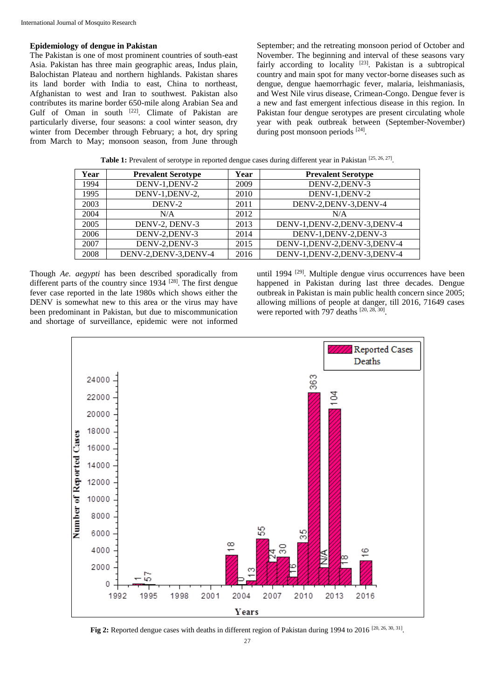#### **Epidemiology of dengue in Pakistan**

The Pakistan is one of most prominent countries of south-east Asia. Pakistan has three main geographic areas, Indus plain, Balochistan Plateau and northern highlands. Pakistan shares its land border with India to east, China to northeast, Afghanistan to west and Iran to southwest. Pakistan also contributes its marine border 650-mile along Arabian Sea and Gulf of Oman in south <a>[22]</a>. Climate of Pakistan are particularly diverse, four seasons: a cool winter season, dry winter from December through February; a hot, dry spring from March to May; monsoon season, from June through

September; and the retreating monsoon period of October and November. The beginning and interval of these seasons vary fairly according to locality [23]. Pakistan is a subtropical country and main spot for many vector-borne diseases such as dengue, dengue haemorrhagic fever, malaria, leishmaniasis, and West Nile virus disease, Crimean-Congo. Dengue fever is a new and fast emergent infectious disease in this region. In Pakistan four dengue serotypes are present circulating whole year with peak outbreak between (September-November) during post monsoon periods [24].

| Year | <b>Prevalent Serotype</b> | Year | <b>Prevalent Serotype</b>      |
|------|---------------------------|------|--------------------------------|
| 1994 | DENV-1, DENV-2            | 2009 | DENV-2, DENV-3                 |
| 1995 | DENV-1, DENV-2,           | 2010 | DENV-1, DENV-2                 |
| 2003 | DENV-2                    | 2011 | DENV-2, DENV-3, DENV-4         |
| 2004 | N/A                       | 2012 | N/A                            |
| 2005 | DENV-2, DENV-3            | 2013 | DENV-1, DENV-2, DENV-3, DENV-4 |
| 2006 | DENV-2, DENV-3            | 2014 | DENV-1, DENV-2, DENV-3         |
| 2007 | DENV-2, DENV-3            | 2015 | DENV-1, DENV-2, DENV-3, DENV-4 |
| 2008 | DENV-2, DENV-3, DENV-4    | 2016 | DENV-1, DENV-2, DENV-3, DENV-4 |

**Table 1:** Prevalent of serotype in reported dengue cases during different year in Pakistan [25, 26, 27].

Though *Ae. aegypti* has been described sporadically from different parts of the country since  $1934$  <sup>[28]</sup>. The first dengue fever case reported in the late 1980s which shows either the DENV is somewhat new to this area or the virus may have been predominant in Pakistan, but due to miscommunication and shortage of surveillance, epidemic were not informed

until 1994 <sup>[29]</sup>. Multiple dengue virus occurrences have been happened in Pakistan during last three decades. Dengue outbreak in Pakistan is main public health concern since 2005; allowing millions of people at danger, till 2016, 71649 cases were reported with 797 deaths  $[20, 28, 30]$ .



**Fig 2:** Reported dengue cases with deaths in different region of Pakistan during 1994 to 2016 [20, 26, 30, 31].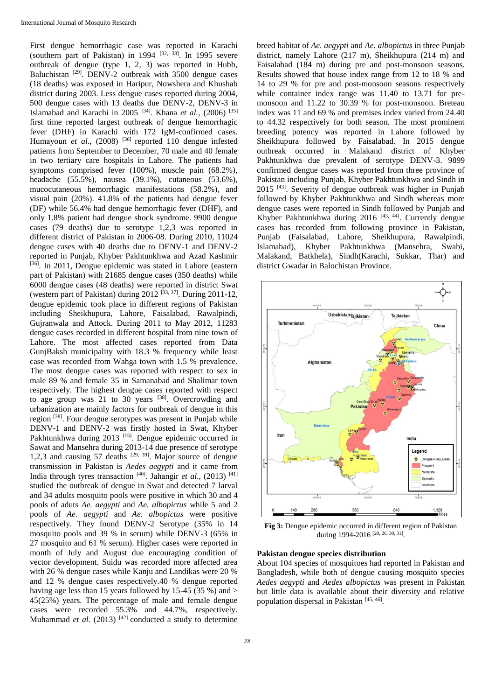First dengue hemorrhagic case was reported in Karachi (southern part of Pakistan) in 1994  $[32, 33]$ . In 1995 severe outbreak of dengue (type 1, 2, 3) was reported in Hubb, Baluchistan [29]. DENV-2 outbreak with 3500 dengue cases (18 deaths) was exposed in Haripur, Nowshera and Khushab district during 2003. Less dengue cases reported during 2004, 500 dengue cases with 13 deaths due DENV-2, DENV-3 in Islamabad and Karachi in 2005 [34]. Khana *et al.,* (2006) [35] first time reported largest outbreak of dengue hemorrhagic fever (DHF) in Karachi with 172 IgM-confirmed cases. Humayoun *et al.*, (2008) <sup>[36]</sup> reported 110 dengue infested patients from September to December, 70 male and 40 female in two tertiary care hospitals in Lahore. The patients had symptoms comprised fever (100%), muscle pain (68.2%), headache (55.5%), nausea (39.1%), cutaneous (53.6%), mucocutaneous hemorrhagic manifestations (58.2%), and visual pain (20%). 41.8% of the patients had dengue fever (DF) while 56.4% had dengue hemorrhagic fever (DHF), and only 1.8% patient had dengue shock syndrome. 9900 dengue cases (79 deaths) due to serotype 1,2,3 was reported in different district of Pakistan in 2006-08. During 2010, 11024 dengue cases with 40 deaths due to DENV-1 and DENV-2 reported in Punjab, Khyber Pakhtunkhwa and Azad Kashmir [36]. In 2011, Dengue epidemic was stated in Lahore (eastern part of Pakistan) with 21685 dengue cases (350 deaths) while 6000 dengue cases (48 deaths) were reported in district Swat (western part of Pakistan) during  $2012^{[33, 37]}$ . During  $2011-12$ , dengue epidemic took place in different regions of Pakistan including Sheikhupura, Lahore, Faisalabad, Rawalpindi, Gujranwala and Attock. During 2011 to May 2012, 11283 dengue cases recorded in different hospital from nine town of Lahore. The most affected cases reported from Data GunjBaksh municipality with 18.3 % frequency while least case was recorded from Wahga town with 1.5 % prevalence. The most dengue cases was reported with respect to sex in male 89 % and female 35 in Samanabad and Shalimar town respectively. The highest dengue cases reported with respect to age group was 21 to 30 years <sup>[38]</sup>. Overcrowding and urbanization are mainly factors for outbreak of dengue in this region [38]. Four dengue serotypes was present in Punjab while DENV-1 and DENV-2 was firstly hosted in Swat, Khyber Pakhtunkhwa during 2013 [15]. Dengue epidemic occurred in Sawat and Mansehra during 2013-14 due presence of serotype 1,2,3 and causing 57 deaths  $[29, 39]$ . Major source of dengue transmission in Pakistan is *Aedes aegypti* and it came from India through tyres transaction [40]. Jahangir *et al*., (2013) [41] studied the outbreak of dengue in Swat and detected 7 larval and 34 adults mosquito pools were positive in which 30 and 4 pools of aduts *Ae. aegypti* and *Ae. albopictus* while 5 and 2 pools of *Ae. aegypti* and *Ae. albopictus* were positive respectively. They found DENV-2 Serotype (35% in 14 mosquito pools and 39 % in serum) while DENV-3 (65% in 27 mosquito and 61 % serum). Higher cases were reported in month of July and August due encouraging condition of vector development. Suidu was recorded more affected area with 26 % dengue cases while Kanju and Landikas were 20 % and 12 % dengue cases respectively.40 % dengue reported having age less than 15 years followed by 15-45 (35 %) and > 45(25%) years. The percentage of male and female dengue cases were recorded 55.3% and 44.7%, respectively. Muhammad *et al.* (2013)<sup>[42]</sup> conducted a study to determine

breed habitat of *Ae. aegypti* and *Ae. albopictus* in three Punjab district, namely Lahore (217 m), Sheikhupura (214 m) and Faisalabad (184 m) during pre and post-monsoon seasons. Results showed that house index range from 12 to 18 % and 14 to 29 % for pre and post-monsoon seasons respectively while container index range was 11.40 to 13.71 for premonsoon and 11.22 to 30.39 % for post-monsoon. Breteau index was 11 and 69 % and premises index varied from 24.40 to 44.32 respectively for both season. The most prominent breeding potency was reported in Lahore followed by Sheikhupura followed by Faisalabad. In 2015 dengue outbreak occurred in Malakand district of Khyber Pakhtunkhwa due prevalent of serotype DENV-3. 9899 confirmed dengue cases was reported from three province of Pakistan including Punjab, Khyber Pakhtunkhwa and Sindh in 2015 [43] . Severity of dengue outbreak was higher in Punjab followed by Khyber Pakhtunkhwa and Sindh whereas more dengue cases were reported in Sindh followed by Punjab and Khyber Pakhtunkhwa during 2016 <sup>[43, 44]</sup>. Currently dengue cases has recorded from following province in Pakistan, Punjab (Faisalabad, Lahore, Sheikhupura, Rawalpindi, Islamabad), Khyber Pakhtunkhwa (Mansehra, Swabi, Malakand, Batkhela), Sindh(Karachi, Sukkar, Thar) and district Gwadar in Balochistan Province.



**Fig 3:** Dengue epidemic occurred in different region of Pakistan during 1994-2016<sup>[20, 26, 30, 31]</sup>.

# **Pakistan dengue species distribution**

About 104 species of mosquitoes had reported in Pakistan and Bangladesh, while both of dengue causing mosquito species *Aedes aegypti* and *Aedes albopictus* was present in Pakistan but little data is available about their diversity and relative population dispersal in Pakistan<sup>[45, 46]</sup>.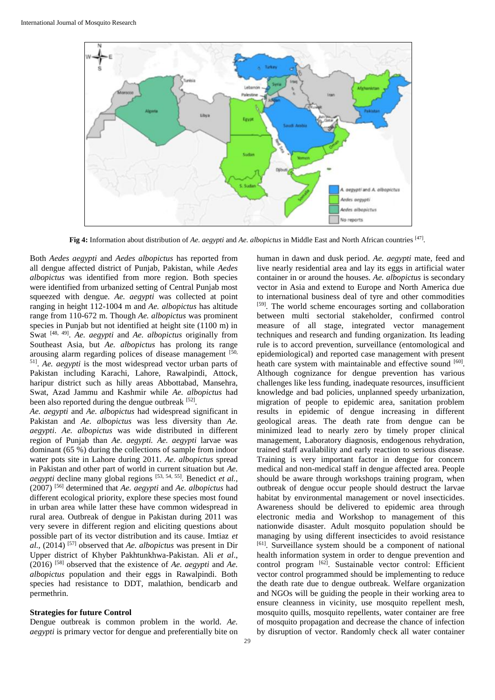

**Fig 4:** Information about distribution of *Ae. aegypti* and *Ae. albopictus* in Middle East and North African countries [47] .

Both *Aedes aegypti* and *Aedes albopictus* has reported from all dengue affected district of Punjab, Pakistan, while *Aedes albopictus* was identified from more region. Both species were identified from urbanized setting of Central Punjab most squeezed with dengue. *Ae. aegypti* was collected at point ranging in height 112-1004 m and *Ae. albopictus* has altitude range from 110-672 m. Though *Ae. albopictus* was prominent species in Punjab but not identified at height site (1100 m) in Swat <sup>[48, 49]</sup>. *Ae. aegypti* and *Ae. albopictus* originally from Southeast Asia, but *Ae. albopictus* has prolong its range arousing alarm regarding polices of disease management  $[50, 50]$ 51] . *Ae. aegypti* is the most widespread vector urban parts of Pakistan including Karachi, Lahore, Rawalpindi, Attock, haripur district such as hilly areas Abbottabad, Mansehra, Swat, Azad Jammu and Kashmir while *Ae. albopictus* had been also reported during the dengue outbreak  $[52]$ .

*Ae. aegypti* and *Ae. albopictus* had widespread significant in Pakistan and *Ae. albopictus* was less diversity than *Ae. aegypti*. *Ae. albopictus* was wide distributed in different region of Punjab than *Ae. aegypti. Ae. aegypti* larvae was dominant (65 %) during the collections of sample from indoor water pots site in Lahore during 2011. *Ae. albopictus* spread in Pakistan and other part of world in current situation but *Ae. aegypti* decline many global regions [53, 54, 55]. Benedict *et al.,* (2007) [56] determined that *Ae. aegypti* and *Ae. albopictus* had different ecological priority, explore these species most found in urban area while latter these have common widespread in rural area. Outbreak of dengue in Pakistan during 2011 was very severe in different region and eliciting questions about possible part of its vector distribution and its cause. Imtiaz *et al.,* (2014) [57] observed that *Ae. albopictus* was present in Dir Upper district of Khyber Pakhtunkhwa-Pakistan. Ali *et al*., (2016) [58] observed that the existence of *Ae. aegypti* and *Ae. albopictus* population and their eggs in Rawalpindi. Both species had resistance to DDT, malathion, bendicarb and permethrin.

# **Strategies for future Control**

Dengue outbreak is common problem in the world. *Ae. aegypti* is primary vector for dengue and preferentially bite on human in dawn and dusk period*. Ae. aegypti* mate, feed and live nearly residential area and lay its eggs in artificial water container in or around the houses. *Ae. albopictus* is secondary vector in Asia and extend to Europe and North America due to international business deal of tyre and other commodities [59]. The world scheme encourages sorting and collaboration between multi sectorial stakeholder, confirmed control measure of all stage, integrated vector management techniques and research and funding organization. Its leading rule is to accord prevention, surveillance (entomological and epidemiological) and reported case management with present heath care system with maintainable and effective sound [60]. Although cognizance for dengue prevention has various challenges like less funding, inadequate resources, insufficient knowledge and bad policies, unplanned speedy urbanization, migration of people to epidemic area, sanitation problem results in epidemic of dengue increasing in different geological areas. The death rate from dengue can be minimized lead to nearly zero by timely proper clinical management, Laboratory diagnosis, endogenous rehydration, trained staff availability and early reaction to serious disease. Training is very important factor in dengue for concern medical and non-medical staff in dengue affected area. People should be aware through workshops training program, when outbreak of dengue occur people should destruct the larvae habitat by environmental management or novel insecticides. Awareness should be delivered to epidemic area through electronic media and Workshop to management of this nationwide disaster. Adult mosquito population should be managing by using different insecticides to avoid resistance [61]. Surveillance system should be a component of national health information system in order to dengue prevention and control program <sup>[62]</sup>. Sustainable vector control: Efficient vector control programmed should be implementing to reduce the death rate due to dengue outbreak. Welfare organization and NGOs will be guiding the people in their working area to ensure cleanness in vicinity, use mosquito repellent mesh, mosquito quills, mosquito repellents, water container are free of mosquito propagation and decrease the chance of infection by disruption of vector. Randomly check all water container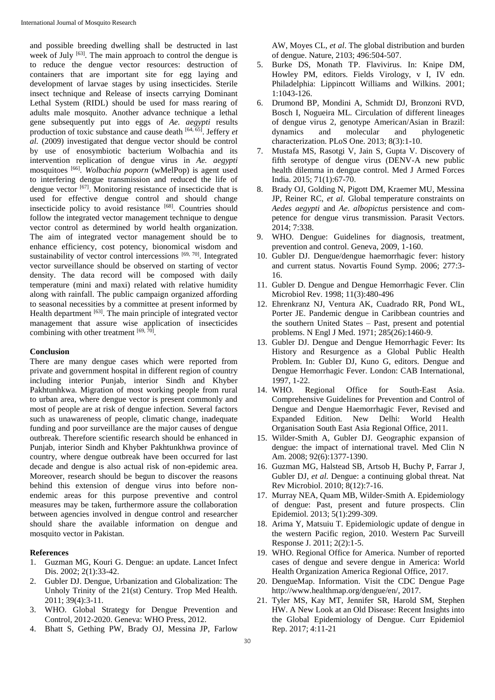and possible breeding dwelling shall be destructed in last week of July <sup>[63]</sup>. The main approach to control the dengue is to reduce the dengue vector resources: destruction of containers that are important site for egg laying and development of larvae stages by using insecticides. Sterile insect technique and Release of insects carrying Dominant Lethal System (RIDL) should be used for mass rearing of adults male mosquito. Another advance technique a lethal gene subsequently put into eggs of *Ae. aegypti* results production of toxic substance and cause death [64, 65]. Jeffery *et al.* (2009) investigated that dengue vector should be control by use of enosymbiotic bacterium Wolbachia and its intervention replication of dengue virus in *Ae. aegypti* mosquitoes [66] . *Wolbachia poporn* (wMelPop) is agent used to interfering dengue transmission and reduced the life of dengue vector <sup>[67]</sup>. Monitoring resistance of insecticide that is used for effective dengue control and should change insecticide policy to avoid resistance [68]. Countries should follow the integrated vector management technique to dengue vector control as determined by world health organization. The aim of integrated vector management should be to enhance efficiency, cost potency, bionomical wisdom and sustainability of vector control intercessions [69, 70]. Integrated vector surveillance should be observed on starting of vector density. The data record will be composed with daily temperature (mini and maxi) related with relative humidity along with rainfall. The public campaign organized affording to seasonal necessities by a committee at present informed by Health department [63]. The main principle of integrated vector management that assure wise application of insecticides combining with other treatment  $[69, 70]$ .

# **Conclusion**

There are many dengue cases which were reported from private and government hospital in different region of country including interior Punjab, interior Sindh and Khyber Pakhtunhkwa. Migration of most working people from rural to urban area, where dengue vector is present commonly and most of people are at risk of dengue infection. Several factors such as unawareness of people, climatic change, inadequate funding and poor surveillance are the major causes of dengue outbreak. Therefore scientific research should be enhanced in Punjab, interior Sindh and Khyber Pakhtunkhwa province of country, where dengue outbreak have been occurred for last decade and dengue is also actual risk of non-epidemic area. Moreover, research should be begun to discover the reasons behind this extension of dengue virus into before nonendemic areas for this purpose preventive and control measures may be taken, furthermore assure the collaboration between agencies involved in dengue control and researcher should share the available information on dengue and mosquito vector in Pakistan.

### **References**

- 1. Guzman MG, Kouri G. Dengue: an update. Lancet Infect Dis. 2002; 2(1):33-42.
- 2. Gubler DJ. Dengue, Urbanization and Globalization: The Unholy Trinity of the 21(st) Century. Trop Med Health. 2011; 39(4):3-11.
- 3. WHO. Global Strategy for Dengue Prevention and Control, 2012-2020. Geneva: WHO Press, 2012.
- 4. Bhatt S, Gething PW, Brady OJ, Messina JP, Farlow

AW, Moyes CL, *et al*. The global distribution and burden of dengue. Nature, 2103; 496:504-507.

- 5. Burke DS, Monath TP. Flavivirus. In: Knipe DM, Howley PM, editors. Fields Virology, v I, IV edn. Philadelphia: Lippincott Williams and Wilkins. 2001; 1:1043-126.
- 6. Drumond BP, Mondini A, Schmidt DJ, Bronzoni RVD, Bosch I, Nogueira ML. Circulation of different lineages of dengue virus 2, genotype American/Asian in Brazil: dynamics and molecular and phylogenetic characterization. PLoS One. 2013; 8(3):1-10.
- 7. Mustafa MS, Rasotgi V, Jain S, Gupta V. Discovery of fifth serotype of dengue virus (DENV-A new public health dilemma in dengue control. Med J Armed Forces India. 2015; 71(1):67-70.
- 8. Brady OJ, Golding N, Pigott DM, Kraemer MU, Messina JP, Reiner RC, *et al.* Global temperature constraints on *Aedes aegypti* and *Ae. albopictus* persistence and competence for dengue virus transmission. Parasit Vectors. 2014; 7:338.
- 9. WHO. Dengue: Guidelines for diagnosis, treatment, prevention and control. Geneva, 2009, 1-160.
- 10. Gubler DJ. Dengue/dengue haemorrhagic fever: history and current status. Novartis Found Symp. 2006; 277:3- 16.
- 11. Gubler D. Dengue and Dengue Hemorrhagic Fever. Clin Microbiol Rev. 1998; 11(3):480-496
- 12. Ehrenkranz NJ, Ventura AK, Cuadrado RR, Pond WL, Porter JE. Pandemic dengue in Caribbean countries and the southern United States – Past, present and potential problems. N Engl J Med. 1971; 285(26):1460-9.
- 13. Gubler DJ. Dengue and Dengue Hemorrhagic Fever: Its History and Resurgence as a Global Public Health Problem. In: Gubler DJ, Kuno G, editors. Dengue and Dengue Hemorrhagic Fever. London: CAB International, 1997, 1-22.
- 14. WHO. Regional Office for South-East Asia. Comprehensive Guidelines for Prevention and Control of Dengue and Dengue Haemorrhagic Fever, Revised and Expanded Edition. New Delhi: World Health Organisation South East Asia Regional Office, 2011.
- 15. Wilder-Smith A, Gubler DJ. Geographic expansion of dengue: the impact of international travel. Med Clin N Am. 2008; 92(6):1377-1390.
- 16. Guzman MG, Halstead SB, Artsob H, Buchy P, Farrar J, Gubler DJ, *et al.* Dengue: a continuing global threat. Nat Rev Microbiol. 2010; 8(12):7-16.
- 17. Murray NEA, Quam MB, Wilder-Smith A. Epidemiology of dengue: Past, present and future prospects. Clin Epidemiol. 2013; 5(1):299-309.
- 18. Arima Y, Matsuiu T. Epidemiologic update of dengue in the western Pacific region, 2010. Western Pac Surveill Response J. 2011; 2(2):1-5.
- 19. WHO. Regional Office for America. Number of reported cases of dengue and severe dengue in America: World Health Organization America Regional Office, 2017.
- 20. DengueMap. Information. Visit the CDC Dengue Page http://www.healthmap.org/dengue/en/, 2017.
- 21. Tyler MS, Kay MT, Jennifer SR, Harold SM, Stephen HW. A New Look at an Old Disease: Recent Insights into the Global Epidemiology of Dengue. Curr Epidemiol Rep. 2017; 4:11-21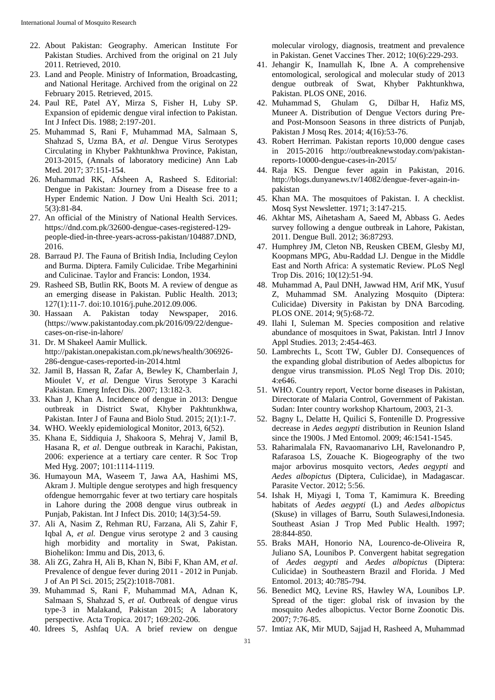- 22. About Pakistan: Geography. American Institute For Pakistan Studies. Archived from the original on 21 July 2011. Retrieved, 2010.
- 23. Land and People. Ministry of Information, Broadcasting, and National Heritage. Archived from the original on 22 February 2015. Retrieved, 2015.
- 24. Paul RE, Patel AY, Mirza S, Fisher H, Luby SP. Expansion of epidemic dengue viral infection to Pakistan. Int J Infect Dis. 1988; 2:197-201.
- 25. Muhammad S, Rani F, Muhammad MA, Salmaan S, Shahzad S, Uzma BA, *et al*. Dengue Virus Serotypes Circulating in Khyber Pakhtunkhwa Province, Pakistan, 2013-2015, (Annals of laboratory medicine) Ann Lab Med. 2017; 37:151-154.
- 26. Muhammad RK, Afsheen A, Rasheed S. Editorial: Dengue in Pakistan: Journey from a Disease free to a Hyper Endemic Nation. J Dow Uni Health Sci. 2011; 5(3):81-84.
- 27. An official of the Ministry of National Health Services. https://dnd.com.pk/32600-dengue-cases-registered-129 people-died-in-three-years-across-pakistan/104887.DND, 2016.
- 28. Barraud PJ. The Fauna of British India, Including Ceylon and Burma. Diptera. Family Culicidae. Tribe Megarhinini and Culicinae. Taylor and Francis: London, 1934.
- 29. Rasheed SB, Butlin RK, Boots M. A review of dengue as an emerging disease in Pakistan. Public Health. 2013; 127(1):11-7. doi:10.1016/j.puhe.2012.09.006.
- 30. Hassaan A. Pakistan today Newspaper, 2016. (https://www.pakistantoday.com.pk/2016/09/22/denguecases-on-rise-in-lahore/
- 31. Dr. M Shakeel Aamir Mullick. http://pakistan.onepakistan.com.pk/news/health/306926- 286-dengue-cases-reported-in-2014.html
- 32. Jamil B, Hassan R, Zafar A, Bewley K, Chamberlain J, Mioulet V, *et al.* Dengue Virus Serotype 3 Karachi Pakistan. Emerg Infect Dis. 2007; 13:182-3.
- 33. Khan J, Khan A. Incidence of dengue in 2013: Dengue outbreak in District Swat, Khyber Pakhtunkhwa, Pakistan. Inter J of Fauna and Biolo Stud. 2015; 2(1):1-7.
- 34. WHO. Weekly epidemiological Monitor, 2013, 6(52).
- 35. Khana E, Siddiquia J, Shakoora S, Mehraj V, Jamil B, Hasana R, *et al*. Dengue outbreak in Karachi, Pakistan, 2006: experience at a tertiary care center. R Soc Trop Med Hyg. 2007; 101:1114-1119.
- 36. Humayoun MA, Waseem T, Jawa AA, Hashimi MS, Akram J. Multiple dengue serotypes and high fresquency ofdengue hemorrgahic fever at two tertiary care hospitals in Lahore during the 2008 dengue virus outbreak in Punjab, Pakistan. Int J Infect Dis. 2010; 14(3):54-59.
- 37. Ali A, Nasim Z, Rehman RU, Farzana, Ali S, Zahir F, Iqbal A, *et al.* Dengue virus serotype 2 and 3 causing high morbidity and mortality in Swat, Pakistan. Biohelikon: Immu and Dis, 2013, 6.
- 38. Ali ZG, Zahra H, Ali B, Khan N, Bibi F, Khan AM, *et al*. Prevalence of dengue fever during 2011 - 2012 in Punjab. J of An Pl Sci. 2015; 25(2):1018-7081.
- 39. Muhammad S, Rani F, Muhammad MA, Adnan K, Salmaan S, Shahzad S, *et al.* Outbreak of dengue virus type-3 in Malakand, Pakistan 2015; A laboratory perspective. Acta Tropica. 2017; 169:202-206.
- 40. Idrees S, Ashfaq UA. A brief review on dengue

molecular virology, diagnosis, treatment and prevalence in Pakistan. Genet Vaccines Ther. 2012; 10(6):229-293.

- 41. Jehangir K, Inamullah K, Ibne A. A comprehensive entomological, serological and molecular study of 2013 dengue outbreak of Swat, Khyber Pakhtunkhwa, Pakistan. PLOS ONE, 2016.
- 42. Muhammad S, Ghulam G, Dilbar H, Hafiz MS, Muneer A. Distribution of Dengue Vectors during Preand Post-Monsoon Seasons in three districts of Punjab, Pakistan J Mosq Res. 2014; 4(16):53-76.
- 43. Robert Herriman. Pakistan reports 10,000 dengue cases in 2015-2016 http://outbreaknewstoday.com/pakistanreports-10000-dengue-cases-in-2015/
- 44. Raja KS. Dengue fever again in Pakistan, 2016. http://blogs.dunyanews.tv/14082/dengue-fever-again-inpakistan
- 45. Khan MA. The mosquitoes of Pakistan. I. A checklist. Mosq Syst Newsletter. 1971; 3:147-215.
- 46. Akhtar MS, Aihetasham A, Saeed M, Abbass G. Aedes survey following a dengue outbreak in Lahore, Pakistan, 2011. Dengue Bull. 2012; 36:87293.
- 47. Humphrey JM, Cleton NB, Reusken CBEM, Glesby MJ, Koopmans MPG, Abu-Raddad LJ. Dengue in the Middle East and North Africa: A systematic Review. PLoS Negl Trop Dis. 2016; 10(12):51-94.
- 48. Muhammad A, Paul DNH, Jawwad HM, Arif MK, Yusuf Z, Muhammad SM. Analyzing Mosquito (Diptera: Culicidae) Diversity in Pakistan by DNA Barcoding. PLOS ONE. 2014; 9(5):68-72.
- 49. Ilahi I, Suleman M. Species composition and relative abundance of mosquitoes in Swat, Pakistan. Intrl J Innov Appl Studies. 2013; 2:454-463.
- 50. Lambrechts L, Scott TW, Gubler DJ. Consequences of the expanding global distribution of Aedes albopictus for dengue virus transmission. PLoS Negl Trop Dis. 2010; 4:e646.
- 51. WHO. Country report, Vector borne diseases in Pakistan, Directorate of Malaria Control, Government of Pakistan. Sudan: Inter country workshop Khartoum, 2003, 21-3.
- 52. Bagny L, Delatte H, Quilici S, Fontenille D. Progressive decrease in *Aedes aegypti* distribution in Reunion Island since the 1900s. J Med Entomol. 2009; 46:1541-1545.
- 53. Raharimalala FN, Ravaomanarivo LH, Ravelonandro P, Rafarasoa LS, Zouache K. Biogeography of the two major arbovirus mosquito vectors, *Aedes aegypti* and *Aedes albopictus* (Diptera, Culicidae), in Madagascar. Parasite Vector. 2012; 5:56.
- 54. Ishak H, Miyagi I, Toma T, Kamimura K. Breeding habitats of *Aedes aegypti* (L) and *Aedes albopictus* (Skuse) in villages of Barru, South Sulawesi,Indonesia. Southeast Asian J Trop Med Public Health. 1997; 28:844-850.
- 55. Braks MAH, Honorio NA, Lourenco-de-Oliveira R, Juliano SA, Lounibos P. Convergent habitat segregation of *Aedes aegypti* and *Aedes albopictus* (Diptera: Culicidae) in Southeastern Brazil and Florida. J Med Entomol. 2013; 40:785-794.
- 56. Benedict MQ, Levine RS, Hawley WA, Lounibos LP. Spread of the tiger: global risk of invasion by the mosquito Aedes albopictus. Vector Borne Zoonotic Dis. 2007; 7:76-85.
- 57. Imtiaz AK, Mir MUD, Sajjad H, Rasheed A, Muhammad